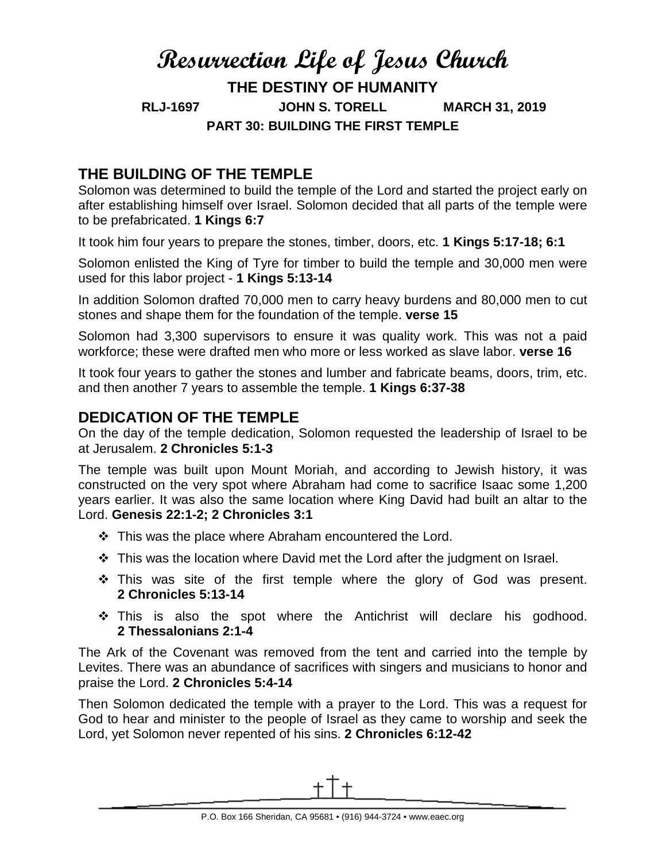# **Resurrection Life of Jesus Church THE DESTINY OF HUMANITY RLJ-1697 JOHN S. TORELL MARCH 31, 2019 PART 30: BUILDING THE FIRST TEMPLE**

## **THE BUILDING OF THE TEMPLE**

Solomon was determined to build the temple of the Lord and started the project early on after establishing himself over Israel. Solomon decided that all parts of the temple were to be prefabricated. **1 Kings 6:7**

It took him four years to prepare the stones, timber, doors, etc. **1 Kings 5:17-18; 6:1**

Solomon enlisted the King of Tyre for timber to build the temple and 30,000 men were used for this labor project - **1 Kings 5:13-14**

In addition Solomon drafted 70,000 men to carry heavy burdens and 80,000 men to cut stones and shape them for the foundation of the temple. **verse 15**

Solomon had 3,300 supervisors to ensure it was quality work. This was not a paid workforce; these were drafted men who more or less worked as slave labor. **verse 16**

It took four years to gather the stones and lumber and fabricate beams, doors, trim, etc. and then another 7 years to assemble the temple. **1 Kings 6:37-38**

#### **DEDICATION OF THE TEMPLE**

On the day of the temple dedication, Solomon requested the leadership of Israel to be at Jerusalem. **2 Chronicles 5:1-3**

The temple was built upon Mount Moriah, and according to Jewish history, it was constructed on the very spot where Abraham had come to sacrifice Isaac some 1,200 years earlier. It was also the same location where King David had built an altar to the Lord. **Genesis 22:1-2; 2 Chronicles 3:1**

- $\div$  This was the place where Abraham encountered the Lord.
- This was the location where David met the Lord after the judgment on Israel.
- $\cdot$  This was site of the first temple where the glory of God was present. **2 Chronicles 5:13-14**
- \* This is also the spot where the Antichrist will declare his godhood. **2 Thessalonians 2:1-4**

The Ark of the Covenant was removed from the tent and carried into the temple by Levites. There was an abundance of sacrifices with singers and musicians to honor and praise the Lord. **2 Chronicles 5:4-14**

Then Solomon dedicated the temple with a prayer to the Lord. This was a request for God to hear and minister to the people of Israel as they came to worship and seek the Lord, yet Solomon never repented of his sins. **2 Chronicles 6:12-42**

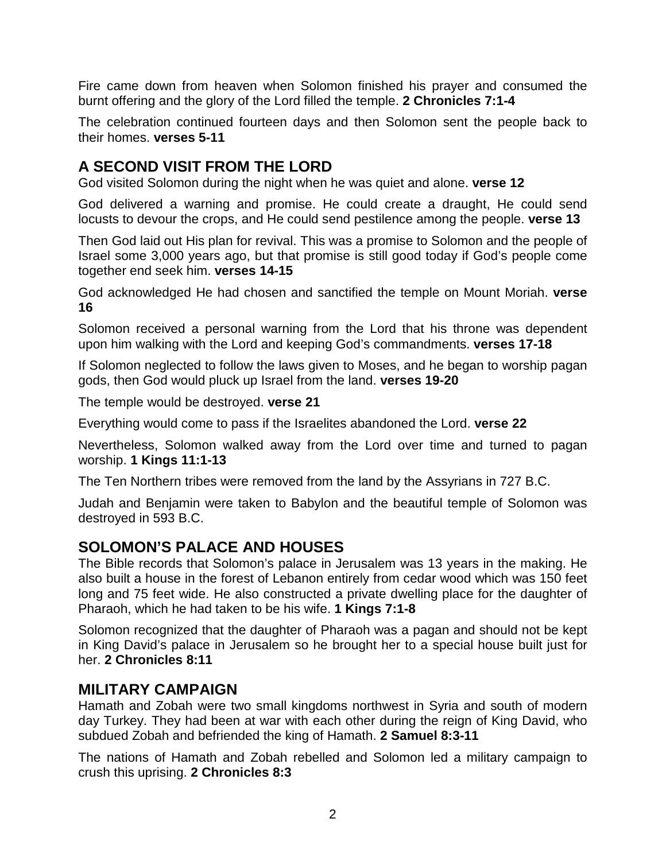Fire came down from heaven when Solomon finished his prayer and consumed the burnt offering and the glory of the Lord filled the temple. **2 Chronicles 7:1-4**

The celebration continued fourteen days and then Solomon sent the people back to their homes. **verses 5-11**

## **A SECOND VISIT FROM THE LORD**

God visited Solomon during the night when he was quiet and alone. **verse 12**

God delivered a warning and promise. He could create a draught, He could send locusts to devour the crops, and He could send pestilence among the people. **verse 13**

Then God laid out His plan for revival. This was a promise to Solomon and the people of Israel some 3,000 years ago, but that promise is still good today if God's people come together end seek him. **verses 14-15**

God acknowledged He had chosen and sanctified the temple on Mount Moriah. **verse 16**

Solomon received a personal warning from the Lord that his throne was dependent upon him walking with the Lord and keeping God's commandments. **verses 17-18**

If Solomon neglected to follow the laws given to Moses, and he began to worship pagan gods, then God would pluck up Israel from the land. **verses 19-20**

The temple would be destroyed. **verse 21**

Everything would come to pass if the Israelites abandoned the Lord. **verse 22**

Nevertheless, Solomon walked away from the Lord over time and turned to pagan worship. **1 Kings 11:1-13**

The Ten Northern tribes were removed from the land by the Assyrians in 727 B.C.

Judah and Benjamin were taken to Babylon and the beautiful temple of Solomon was destroyed in 593 B.C.

## **SOLOMON'S PALACE AND HOUSES**

The Bible records that Solomon's palace in Jerusalem was 13 years in the making. He also built a house in the forest of Lebanon entirely from cedar wood which was 150 feet long and 75 feet wide. He also constructed a private dwelling place for the daughter of Pharaoh, which he had taken to be his wife. **1 Kings 7:1-8**

Solomon recognized that the daughter of Pharaoh was a pagan and should not be kept in King David's palace in Jerusalem so he brought her to a special house built just for her. **2 Chronicles 8:11**

#### **MILITARY CAMPAIGN**

Hamath and Zobah were two small kingdoms northwest in Syria and south of modern day Turkey. They had been at war with each other during the reign of King David, who subdued Zobah and befriended the king of Hamath. **2 Samuel 8:3-11**

The nations of Hamath and Zobah rebelled and Solomon led a military campaign to crush this uprising. **2 Chronicles 8:3**